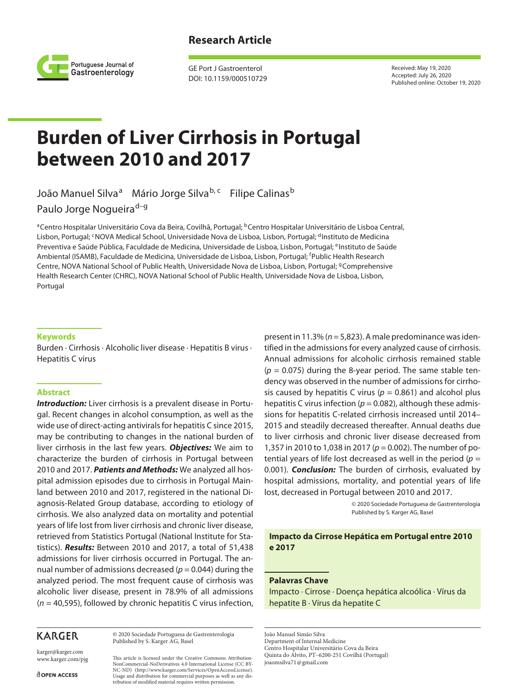## **Research Article**



GE Port J Gastroenterol DOI: 10.1159/000510729 Received: May 19, 2020 Accepted: July 26, 2020 Published online: October 19, 2020

# **Burden of Liver Cirrhosis in Portugal between 2010 and 2017**

João Manuel Silvaª Mário Jorge Silva<sup>b, c</sup>hilipe Calinas<sup>b</sup>

Paulo Jorge Nogueira<sup>d-g</sup>

<sup>a</sup>Centro Hospitalar Universitário Cova da Beira, Covilhã, Portugal; <sup>b</sup>Centro Hospitalar Universitário de Lisboa Central, Lisbon, Portugal; <sup>c</sup>NOVA Medical School, Universidade Nova de Lisboa, Lisbon, Portugal; <sup>d</sup>Instituto de Medicina Preventiva e Saúde Pública, Faculdade de Medicina, Universidade de Lisboa, Lisbon, Portugal; <sup>e</sup>Instituto de Saúde Ambiental (ISAMB), Faculdade de Medicina, Universidade de Lisboa, Lisbon, Portugal; <sup>f</sup> Public Health Research Centre, NOVA National School of Public Health, Universidade Nova de Lisboa, Lisbon, Portugal; <sup>9</sup>Comprehensive Health Research Center (CHRC), NOVA National School of Public Health, Universidade Nova de Lisboa, Lisbon, Portugal

#### **Keywords**

Burden · Cirrhosis · Alcoholic liver disease · Hepatitis B virus · Hepatitis C virus

#### **Abstract**

**Introduction:** Liver cirrhosis is a prevalent disease in Portugal. Recent changes in alcohol consumption, as well as the wide use of direct-acting antivirals for hepatitis C since 2015, may be contributing to changes in the national burden of liver cirrhosis in the last few years. *Objectives:* We aim to characterize the burden of cirrhosis in Portugal between 2010 and 2017. *Patients and Methods:* We analyzed all hospital admission episodes due to cirrhosis in Portugal Mainland between 2010 and 2017, registered in the national Diagnosis-Related Group database, according to etiology of cirrhosis. We also analyzed data on mortality and potential years of life lost from liver cirrhosis and chronic liver disease, retrieved from Statistics Portugal (National Institute for Statistics). *Results:* Between 2010 and 2017, a total of 51,438 admissions for liver cirrhosis occurred in Portugal. The annual number of admissions decreased ( $p = 0.044$ ) during the analyzed period. The most frequent cause of cirrhosis was alcoholic liver disease, present in 78.9% of all admissions (*n* = 40,595), followed by chronic hepatitis C virus infection,

# **KARGER**

© 2020 Sociedade Portuguesa de Gastrenterologia Published by S. Karger AG, Basel

karger@karger.com www.karger.com/pjg

This article is licensed under the Creative Commons Attribution-NonCommercial-NoDerivatives 4.0 International License (CC BY-NC-ND) (http://www.karger.com/Services/OpenAccessLicense). Usage and distribution for commercial purposes as well as any distribution of modified material requires written permission.

present in 11.3% (*n* = 5,823). A male predominance was identified in the admissions for every analyzed cause of cirrhosis. Annual admissions for alcoholic cirrhosis remained stable (*p* = 0.075) during the 8-year period. The same stable tendency was observed in the number of admissions for cirrhosis caused by hepatitis C virus ( $p = 0.861$ ) and alcohol plus hepatitis C virus infection ( $p = 0.082$ ), although these admissions for hepatitis C-related cirrhosis increased until 2014– 2015 and steadily decreased thereafter. Annual deaths due to liver cirrhosis and chronic liver disease decreased from 1,357 in 2010 to 1,038 in 2017 (*p* = 0.002). The number of potential years of life lost decreased as well in the period (*p* = 0.001). *Conclusion:* The burden of cirrhosis, evaluated by hospital admissions, mortality, and potential years of life lost, decreased in Portugal between 2010 and 2017.

> © 2020 Sociedade Portuguesa de Gastrenterologia Published by S. Karger AG, Basel

## **Impacto da Cirrose Hepática em Portugal entre 2010 e 2017**

#### **Palavras Chave**

Impacto · Cirrose · Doença hepática alcoólica · Vírus da hepatite B · Vírus da hepatite C

João Manuel Simão Silva

Department of Internal Medicine

Centro Hospitalar Universitário Cova da Beira Quinta do Alvito, PT–6200-251 Covilhã (Portugal)

joaomsilva71@gmail.com

**ROPEN ACCESS**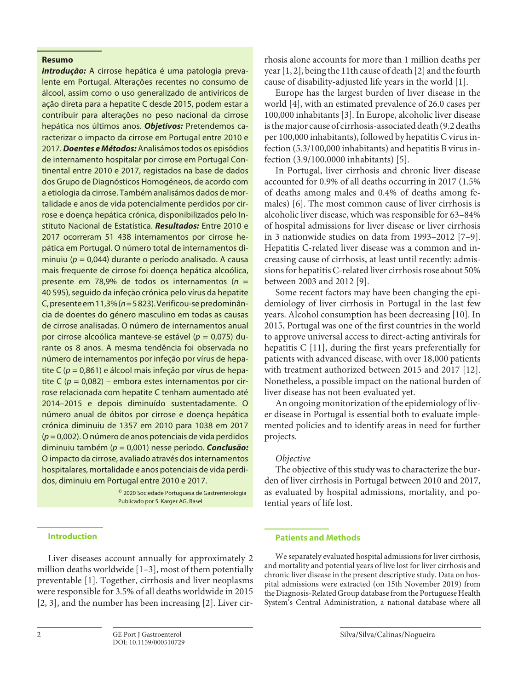## **Resumo**

*Introdução:* A cirrose hepática é uma patologia prevalente em Portugal. Alterações recentes no consumo de álcool, assim como o uso generalizado de antivíricos de ação direta para a hepatite C desde 2015, podem estar a contribuir para alterações no peso nacional da cirrose hepática nos últimos anos. *Objetivos:* Pretendemos caracterizar o impacto da cirrose em Portugal entre 2010 e 2017. *Doentes e Métodos:* Analisámos todos os episódios de internamento hospitalar por cirrose em Portugal Continental entre 2010 e 2017, registados na base de dados dos Grupo de Diagnósticos Homogéneos, de acordo com a etiologia da cirrose. Também analisámos dados de mortalidade e anos de vida potencialmente perdidos por cirrose e doença hepática crónica, disponibilizados pelo Instituto Nacional de Estatística. *Resultados:* Entre 2010 e 2017 ocorreram 51 438 internamentos por cirrose hepática em Portugal. O número total de internamentos diminuiu (*p* = 0,044) durante o período analisado. A causa mais frequente de cirrose foi doença hepática alcoólica, presente em 78,9% de todos os internamentos (*n* = 40 595), seguido da infeção crónica pelo vírus da hepatite C, presente em 11,3% (*n* = 5 823). Verificou-se predominância de doentes do género masculino em todas as causas de cirrose analisadas. O número de internamentos anual por cirrose alcoólica manteve-se estável (*p* = 0,075) durante os 8 anos. A mesma tendência foi observada no número de internamentos por infeção por vírus de hepatite C (*p* = 0,861) e álcool mais infeção por vírus de hepatite C (*p* = 0,082) – embora estes internamentos por cirrose relacionada com hepatite C tenham aumentado até 2014–2015 e depois diminuído sustentadamente. O número anual de óbitos por cirrose e doença hepática crónica diminuiu de 1357 em 2010 para 1038 em 2017 (*p* = 0,002). O número de anos potenciais de vida perdidos diminuiu também (*p* = 0,001) nesse período. *Conclusão:* O impacto da cirrose, avaliado através dos internamentos hospitalares, mortalidade e anos potenciais de vida perdidos, diminuiu em Portugal entre 2010 e 2017.

> © 2020 Sociedade Portuguesa de Gastrenterologia Publicado por S. Karger AG, Basel

#### **Introduction**

Liver diseases account annually for approximately 2 million deaths worldwide [[1](#page-7-0)-[3](#page-7-1)], most of them potentially preventable [[1](#page-7-0)]. Together, cirrhosis and liver neoplasms were responsible for 3.5% of all deaths worldwide in 2015 [\[2,](#page-7-2) [3\]](#page-7-1), and the number has been increasing [\[2\]](#page-7-2). Liver cir-

year [\[1](#page-7-0), [2\]](#page-7-2), being the 11th cause of death [\[2](#page-7-2)] and the fourth cause of disability-adjusted life years in the world [\[1](#page-7-0)]. Europe has the largest burden of liver disease in the

<span id="page-1-0"></span>world [\[4](#page-7-3)], with an estimated prevalence of 26.0 cases per 100,000 inhabitants [[3](#page-7-1)]. In Europe, alcoholic liver disease is the major cause of cirrhosis-associated death (9.2 deaths per 100,000 inhabitants), followed by hepatitis C virus infection (5.3/100,000 inhabitants) and hepatitis B virus infection (3.9/100,0000 inhabitants) [\[5\]](#page-7-4).

rhosis alone accounts for more than 1 million deaths per

<span id="page-1-1"></span>In Portugal, liver cirrhosis and chronic liver disease accounted for 0.9% of all deaths occurring in 2017 (1.5% of deaths among males and 0.4% of deaths among females) [[6](#page-7-5)]. The most common cause of liver cirrhosis is alcoholic liver disease, which was responsible for 63–84% of hospital admissions for liver disease or liver cirrhosis in 3 nationwide studies on data from 1993–2012 [\[7](#page-7-6)[–9](#page-7-7)]. Hepatitis C-related liver disease was a common and increasing cause of cirrhosis, at least until recently: admissions for hepatitis C-related liver cirrhosis rose about 50% between 2003 and 2012 [\[9](#page-7-7)].

<span id="page-1-4"></span><span id="page-1-3"></span><span id="page-1-2"></span>Some recent factors may have been changing the epidemiology of liver cirrhosis in Portugal in the last few years. Alcohol consumption has been decreasing [[10](#page-7-0)]. In 2015, Portugal was one of the first countries in the world to approve universal access to direct-acting antivirals for hepatitis C [[11](#page-7-0)], during the first years preferentially for patients with advanced disease, with over 18,000 patients with treatment authorized between 2015 and 2017 [[1](#page-7-0)[2](#page-7-2)]. Nonetheless, a possible impact on the national burden of liver disease has not been evaluated yet.

<span id="page-1-5"></span>An ongoing monitorization of the epidemiology of liver disease in Portugal is essential both to evaluate implemented policies and to identify areas in need for further projects.

## *Objective*

The objective of this study was to characterize the burden of liver cirrhosis in Portugal between 2010 and 2017, as evaluated by hospital admissions, mortality, and potential years of life lost.

## **Patients and Methods**

We separately evaluated hospital admissions for liver cirrhosis, and mortality and potential years of live lost for liver cirrhosis and chronic liver disease in the present descriptive study. Data on hospital admissions were extracted (on 15th November 2019) from the Diagnosis-Related Group database from the Portuguese Health System's Central Administration, a national database where all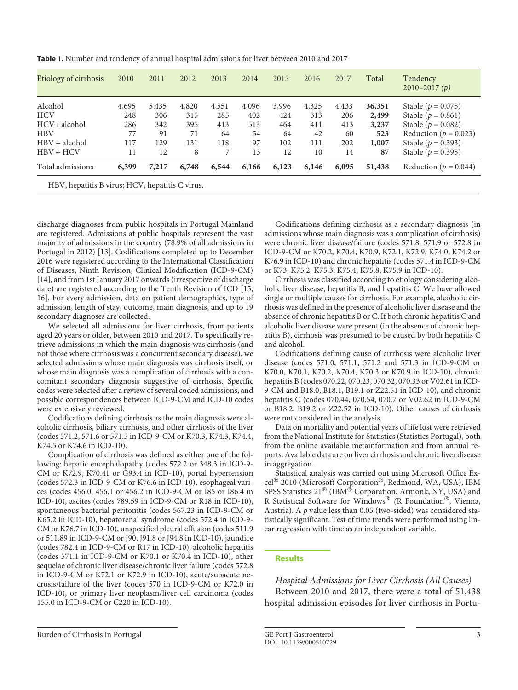**Table 1.** Number and tendency of annual hospital admissions for liver between 2010 and 2017

| Etiology of cirrhosis                           | 2010  | 2011  | 2012  | 2013  | 2014  | 2015  | 2016  | 2017  | Total  | Tendency<br>$2010 - 2017(p)$ |
|-------------------------------------------------|-------|-------|-------|-------|-------|-------|-------|-------|--------|------------------------------|
| Alcohol                                         | 4,695 | 5,435 | 4,820 | 4,551 | 4,096 | 3,996 | 4,325 | 4,433 | 36,351 | Stable ( $p = 0.075$ )       |
| <b>HCV</b>                                      | 248   | 306   | 315   | 285   | 402   | 424   | 313   | 206   | 2,499  | Stable ( $p = 0.861$ )       |
| HCV+ alcohol                                    | 286   | 342   | 395   | 413   | 513   | 464   | 411   | 413   | 3,237  | Stable ( $p = 0.082$ )       |
| <b>HBV</b>                                      | 77    | 91    | 71    | 64    | 54    | 64    | 42    | 60    | 523    | Reduction ( $p = 0.023$ )    |
| $HBV + alcohol$                                 | 117   | 129   | 131   | 118   | 97    | 102   | 111   | 202   | 1,007  | Stable ( $p = 0.393$ )       |
| $HBV + HCV$                                     | 11    | 12    | 8     | 7     | 13    | 12    | 10    | 14    | 87     | Stable ( $p = 0.395$ )       |
| Total admissions                                | 6,399 | 7,217 | 6,748 | 6,544 | 6,166 | 6,123 | 6,146 | 6,095 | 51,438 | Reduction ( $p = 0.044$ )    |
| HBV, hepatitis B virus; HCV, hepatitis C virus. |       |       |       |       |       |       |       |       |        |                              |

discharge diagnoses from public hospitals in Portugal Mainland are registered. Admissions at public hospitals represent the vast majority of admissions in the country (78.9% of all admissions in Portugal in 2012) [[1](#page-7-0)[3\]](#page-7-1). Codifications completed up to December 2016 were registered according to the International Classification of Diseases, Ninth Revision, Clinical Modification (ICD-9-CM) [[1](#page-7-0)[4\]](#page-7-3), and from 1st January 2017 onwards (irrespective of discharge date) are registered according to the Tenth Revision of ICD [[1](#page-7-0)[5](#page-7-4), [1](#page-7-0)[6\]](#page-7-5). For every admission, data on patient demographics, type of admission, length of stay, outcome, main diagnosis, and up to 19 secondary diagnoses are collected.

<span id="page-2-1"></span><span id="page-2-0"></span>We selected all admissions for liver cirrhosis, from patients aged 20 years or older, between 2010 and 2017. To specifically retrieve admissions in which the main diagnosis was cirrhosis (and not those where cirrhosis was a concurrent secondary disease), we selected admissions whose main diagnosis was cirrhosis itself, or whose main diagnosis was a complication of cirrhosis with a concomitant secondary diagnosis suggestive of cirrhosis. Specific codes were selected after a review of several coded admissions, and possible correspondences between ICD-9-CM and ICD-10 codes were extensively reviewed.

Codifications defining cirrhosis as the main diagnosis were alcoholic cirrhosis, biliary cirrhosis, and other cirrhosis of the liver (codes 571.2, 571.6 or 571.5 in ICD-9-CM or K70.3, K74.3, K74.4, K74.5 or K74.6 in ICD-10).

Complication of cirrhosis was defined as either one of the following: hepatic encephalopathy (codes 572.2 or 348.3 in ICD-9- CM or K72.9, K70.41 or G93.4 in ICD-10), portal hypertension (codes 572.3 in ICD-9-CM or K76.6 in ICD-10), esophageal varices (codes 456.0, 456.1 or 456.2 in ICD-9-CM or I85 or I86.4 in ICD-10), ascites (codes 789.59 in ICD-9-CM or R18 in ICD-10), spontaneous bacterial peritonitis (codes 567.23 in ICD-9-CM or K65.2 in ICD-10), hepatorenal syndrome (codes 572.4 in ICD-9- CM or K76.7 in ICD-10), unspecified pleural effusion (codes 511.9 or 511.89 in ICD-9-CM or J90, J91.8 or J94.8 in ICD-10), jaundice (codes 782.4 in ICD-9-CM or R17 in ICD-10), alcoholic hepatitis (codes 571.1 in ICD-9-CM or K70.1 or K70.4 in ICD-10), other sequelae of chronic liver disease/chronic liver failure (codes 572.8 in ICD-9-CM or K72.1 or K72.9 in ICD-10), acute/subacute necrosis/failure of the liver (codes 570 in ICD-9-CM or K72.0 in ICD-10), or primary liver neoplasm/liver cell carcinoma (codes 155.0 in ICD-9-CM or C220 in ICD-10).

Codifications defining cirrhosis as a secondary diagnosis (in admissions whose main diagnosis was a complication of cirrhosis) were chronic liver disease/failure (codes 571.8, 571.9 or 572.8 in ICD-9-CM or K70.2, K70.4, K70.9, K72.1, K72.9, K74.0, K74.2 or K76.9 in ICD-10) and chronic hepatitis (codes 571.4 in ICD-9-CM or K73, K75.2, K75.3, K75.4, K75.8, K75.9 in ICD-10).

Cirrhosis was classified according to etiology considering alcoholic liver disease, hepatitis B, and hepatitis C. We have allowed single or multiple causes for cirrhosis. For example, alcoholic cirrhosis was defined in the presence of alcoholic liver disease and the absence of chronic hepatitis B or C. If both chronic hepatitis C and alcoholic liver disease were present (in the absence of chronic hepatitis B), cirrhosis was presumed to be caused by both hepatitis C and alcohol.

Codifications defining cause of cirrhosis were alcoholic liver disease (codes 571.0, 571.1, 571.2 and 571.3 in ICD-9-CM or K70.0, K70.1, K70.2, K70.4, K70.3 or K70.9 in ICD-10), chronic hepatitis B (codes 070.22, 070.23, 070.32, 070.33 or V02.61 in ICD-9-CM and B18.0, B18.1, B19.1 or Z22.51 in ICD-10), and chronic hepatitis C (codes 070.44, 070.54, 070.7 or V02.62 in ICD-9-CM or B18.2, B19.2 or Z22.52 in ICD-10). Other causes of cirrhosis were not considered in the analysis.

Data on mortality and potential years of life lost were retrieved from the National Institute for Statistics (Statistics Portugal), both from the online available metainformation and from annual reports. Available data are on liver cirrhosis and chronic liver disease in aggregation.

Statistical analysis was carried out using Microsoft Office Excel® 2010 (Microsoft Corporation®, Redmond, WA, USA), IBM SPSS Statistics 21<sup>®</sup> (IBM<sup>®</sup> Corporation, Armonk, NY, USA) and R Statistical Software for Windows® *(*R Foundation®, Vienna, Austria). A *p* value less than 0.05 (two-sided) was considered statistically significant. Test of time trends were performed using linear regression with time as an independent variable.

## **Results**

*Hospital Admissions for Liver Cirrhosis (All Causes)*

Between 2010 and 2017, there were a total of 51,438 hospital admission episodes for liver cirrhosis in Portu-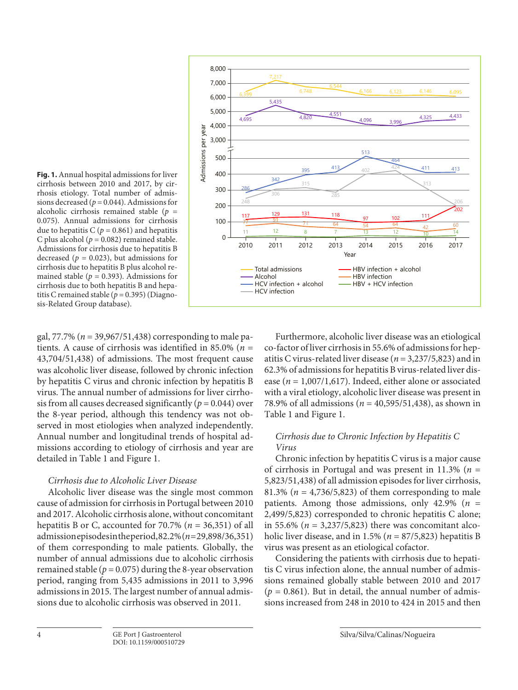

**Fig. 1.** Annual hospital admissions for liver cirrhosis between 2010 and 2017, by cirrhosis etiology. Total number of admissions decreased ( $p = 0.044$ ). Admissions for alcoholic cirrhosis remained stable (*p* = 0.075). Annual admissions for cirrhosis due to hepatitis  $C$  ( $p = 0.861$ ) and hepatitis C plus alcohol ( $p = 0.082$ ) remained stable. Admissions for cirrhosis due to hepatitis B decreased ( $p = 0.023$ ), but admissions for cirrhosis due to hepatitis B plus alcohol remained stable ( $p = 0.393$ ). Admissions for cirrhosis due to both hepatitis B and hepatitis C remained stable ( $p = 0.395$ ) (Diagnosis-Related Group database).

gal, 77.7% (*n* = 39,967/51,438) corresponding to male patients. A cause of cirrhosis was identified in 85.0% (*n* = 43,704/51,438) of admissions. The most frequent cause was alcoholic liver disease, followed by chronic infection by hepatitis C virus and chronic infection by hepatitis B virus. The annual number of admissions for liver cirrhosis from all causes decreased significantly  $(p = 0.044)$  over the 8-year period, although this tendency was not observed in most etiologies when analyzed independently. Annual number and longitudinal trends of hospital admissions according to etiology of cirrhosis and year are detailed in Table 1 and Figure 1.

## *Cirrhosis due to Alcoholic Liver Disease*

Alcoholic liver disease was the single most common cause of admission for cirrhosis in Portugal between 2010 and 2017. Alcoholic cirrhosis alone, without concomitant hepatitis B or C, accounted for 70.7% (*n* = 36,351) of all admission episodes in the period, 82.2% (*n* = 29,898/36,351) of them corresponding to male patients. Globally, the number of annual admissions due to alcoholic cirrhosis remained stable ( $p = 0.075$ ) during the 8-year observation period, ranging from 5,435 admissions in 2011 to 3,996 admissions in 2015. The largest number of annual admissions due to alcoholic cirrhosis was observed in 2011.

Furthermore, alcoholic liver disease was an etiological co-factor of liver cirrhosis in 55.6% of admissions for hepatitis C virus-related liver disease (*n* = 3,237/5,823) and in 62.3% of admissions for hepatitis B virus-related liver disease (*n* = 1,007/1,617). Indeed, either alone or associated with a viral etiology, alcoholic liver disease was present in 78.9% of all admissions (*n* = 40,595/51,438), as shown in Table 1 and Figure 1.

## *Cirrhosis due to Chronic Infection by Hepatitis C Virus*

Chronic infection by hepatitis C virus is a major cause of cirrhosis in Portugal and was present in 11.3% (*n* = 5,823/51,438) of all admission episodes for liver cirrhosis, 81.3% ( $n = 4,736/5,823$ ) of them corresponding to male patients. Among those admissions, only 42.9% (*n* = 2,499/5,823) corresponded to chronic hepatitis C alone; in 55.6% (*n* = 3,237/5,823) there was concomitant alcoholic liver disease, and in 1.5% ( $n = 87/5,823$ ) hepatitis B virus was present as an etiological cofactor.

Considering the patients with cirrhosis due to hepatitis C virus infection alone, the annual number of admissions remained globally stable between 2010 and 2017  $(p = 0.861)$ . But in detail, the annual number of admissions increased from 248 in 2010 to 424 in 2015 and then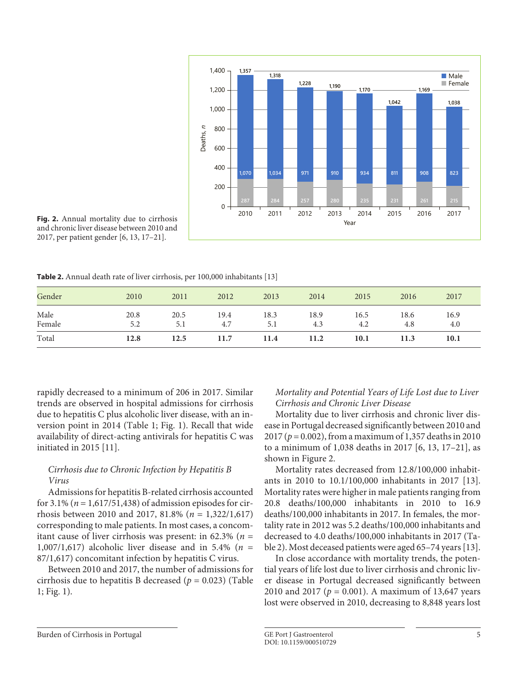

<span id="page-4-0"></span>**Fig. 2.** Annual mortality due to cirrhosis and chronic liver disease between 2010 and 2017, per patient gender [\[6,](#page-7-5) [1](#page-7-0)[3](#page-7-1), [1](#page-7-0)[7–](#page-7-6)[2](#page-7-2)[1\]](#page-7-0).

**Table 2.** Annual death rate of liver cirrhosis, per 100,000 inhabitants [13]

| Gender         | 2010        | 2011        | 2012        | 2013        | 2014        | 2015        | 2016        | 2017        |
|----------------|-------------|-------------|-------------|-------------|-------------|-------------|-------------|-------------|
| Male<br>Female | 20.8<br>5.2 | 20.5<br>5.1 | 19.4<br>4.7 | 18.3<br>5.1 | 18.9<br>4.3 | 16.5<br>4.2 | 18.6<br>4.8 | 16.9<br>4.0 |
| Total          | 12.8        | 12.5        | 11.7        | 11.4        | 11.2        | 10.1        | 11.3        | 10.1        |

rapidly decreased to a minimum of 206 in 2017. Similar trends are observed in hospital admissions for cirrhosis due to hepatitis C plus alcoholic liver disease, with an inversion point in 2014 (Table 1; Fig. 1). Recall that wide availability of direct-acting antivirals for hepatitis C was initiated in 2015 [[11](#page-7-0)].

## *Cirrhosis due to Chronic Infection by Hepatitis B Virus*

Admissions for hepatitis B-related cirrhosis accounted for 3.1% (*n* = 1,617/51,438) of admission episodes for cirrhosis between 2010 and 2017, 81.8% (*n* = 1,322/1,617) corresponding to male patients. In most cases, a concomitant cause of liver cirrhosis was present: in 62.3% (*n* = 1,007/1,617) alcoholic liver disease and in 5.4% (*n* = 87/1,617) concomitant infection by hepatitis C virus.

Between 2010 and 2017, the number of admissions for cirrhosis due to hepatitis B decreased (*p* = 0.023) (Table 1; Fig. 1).

## *Mortality and Potential Years of Life Lost due to Liver Cirrhosis and Chronic Liver Disease*

Mortality due to liver cirrhosis and chronic liver disease in Portugal decreased significantly between 2010 and 2017 (*p* = 0.002), from a maximum of 1,357 deaths in 2010 to a minimum of 1,038 deaths in 2017 [\[6](#page-7-5), [1](#page-7-0)[3](#page-7-1), [1](#page-7-0)[7](#page-7-6)[–2](#page-7-2)[1\]](#page-7-0), as shown in Figure 2.

Mortality rates decreased from 12.8/100,000 inhabitants in 2010 to 10.1/100,000 inhabitants in 2017 [[1](#page-7-0)[3](#page-7-1)]. Mortality rates were higher in male patients ranging from 20.8 deaths/100,000 inhabitants in 2010 to 16.9 deaths/100,000 inhabitants in 2017. In females, the mortality rate in 2012 was 5.2 deaths/100,000 inhabitants and decreased to 4.0 deaths/100,000 inhabitants in 2017 (Table 2). Most deceased patients were aged 65–74 years [[1](#page-7-0)[3](#page-7-1)].

In close accordance with mortality trends, the potential years of life lost due to liver cirrhosis and chronic liver disease in Portugal decreased significantly between 2010 and 2017 (*p* = 0.001). A maximum of 13,647 years lost were observed in 2010, decreasing to 8,848 years lost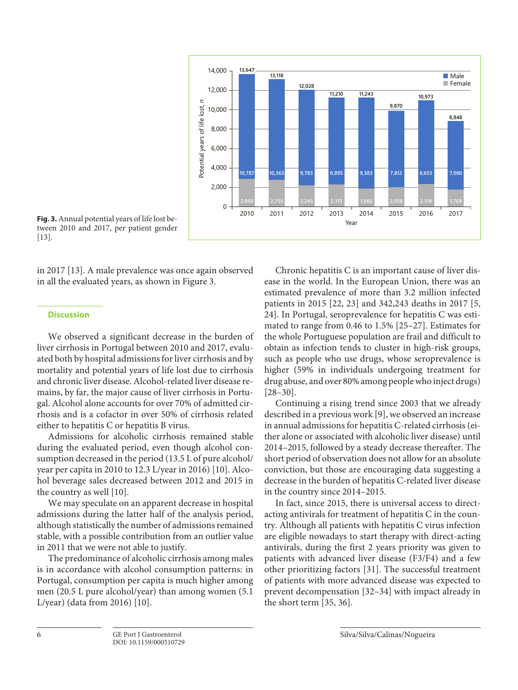

**Fig. 3.** Annual potential years of life lost between 2010 and 2017, per patient gender [[1](#page-7-0)[3\]](#page-7-1).

in 2017 [\[1](#page-7-0)[3\]](#page-7-1). A male prevalence was once again observed in all the evaluated years, as shown in Figure 3.

## **Discussion**

We observed a significant decrease in the burden of liver cirrhosis in Portugal between 2010 and 2017, evaluated both by hospital admissions for liver cirrhosis and by mortality and potential years of life lost due to cirrhosis and chronic liver disease. Alcohol-related liver disease remains, by far, the major cause of liver cirrhosis in Portugal. Alcohol alone accounts for over 70% of admitted cirrhosis and is a cofactor in over 50% of cirrhosis related either to hepatitis C or hepatitis B virus.

Admissions for alcoholic cirrhosis remained stable during the evaluated period, even though alcohol consumption decreased in the period (13.5 L of pure alcohol/ year per capita in 2010 to 12.3 L/year in 2016) [[10](#page-7-0)]. Alcohol beverage sales decreased between 2012 and 2015 in the country as well [\[10](#page-7-0)].

We may speculate on an apparent decrease in hospital admissions during the latter half of the analysis period, although statistically the number of admissions remained stable, with a possible contribution from an outlier value in 2011 that we were not able to justify.

The predominance of alcoholic cirrhosis among males is in accordance with alcohol consumption patterns: in Portugal, consumption per capita is much higher among men (20.5 L pure alcohol/year) than among women (5.1 L/year) (data from 2016) [[1](#page-7-0)0].

<span id="page-5-2"></span><span id="page-5-1"></span><span id="page-5-0"></span>Chronic hepatitis C is an important cause of liver disease in the world. In the European Union, there was an estimated prevalence of more than 3.2 million infected patients in 2015 [\[22,](#page-7-2) [2](#page-7-2)[3](#page-7-1)] and 342,243 deaths in 2017 [[5](#page-7-4), [2](#page-7-2)[4\]](#page-7-3). In Portugal, seroprevalence for hepatitis C was estimated to range from 0.46 to 1.5% [[2](#page-7-2)[5](#page-7-4)[–2](#page-7-2)[7\]](#page-7-6). Estimates for the whole Portuguese population are frail and difficult to obtain as infection tends to cluster in high-risk groups, such as people who use drugs, whose seroprevalence is higher (59% in individuals undergoing treatment for drug abuse, and over 80% among people who inject drugs) [[2](#page-7-2)[8](#page-7-8)[–3](#page-7-1)0].

<span id="page-5-3"></span>Continuing a rising trend since 2003 that we already described in a previous work [[9\]](#page-7-7), we observed an increase in annual admissions for hepatitis C-related cirrhosis (either alone or associated with alcoholic liver disease) until 2014–2015, followed by a steady decrease thereafter. The short period of observation does not allow for an absolute conviction, but those are encouraging data suggesting a decrease in the burden of hepatitis C-related liver disease in the country since 2014–2015.

<span id="page-5-6"></span><span id="page-5-5"></span><span id="page-5-4"></span>In fact, since 2015, there is universal access to directacting antivirals for treatment of hepatitis C in the country. Although all patients with hepatitis C virus infection are eligible nowadays to start therapy with direct-acting antivirals, during the first 2 years priority was given to patients with advanced liver disease (F3/F4) and a few other prioritizing factors [[3](#page-7-1)[1](#page-7-0)]. The successful treatment of patients with more advanced disease was expected to prevent decompensation [[3](#page-7-1)[2](#page-7-2)[–3](#page-7-1)[4\]](#page-7-3) with impact already in the short term [\[3](#page-7-1)[5,](#page-7-4) [3](#page-7-1)[6](#page-7-5)].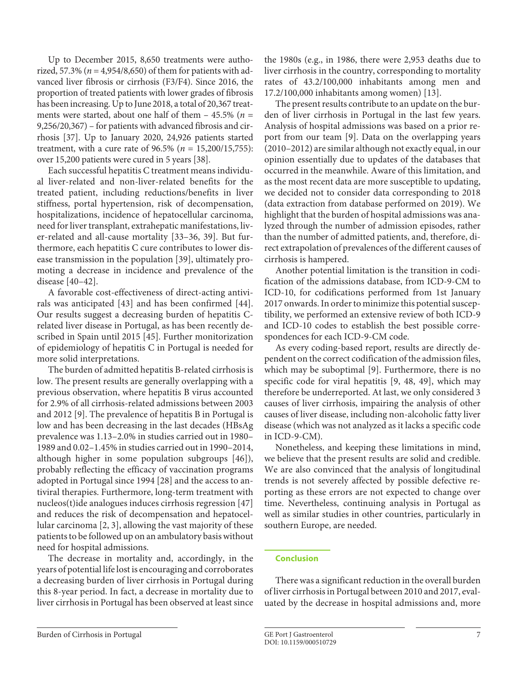Up to December 2015, 8,650 treatments were authorized, 57.3% ( $n = 4,954/8,650$ ) of them for patients with advanced liver fibrosis or cirrhosis (F3/F4). Since 2016, the proportion of treated patients with lower grades of fibrosis has been increasing. Up to June 2018, a total of 20,367 treatments were started, about one half of them  $-$  45.5% ( $n =$ 9,256/20,367) – for patients with advanced fibrosis and cirrhosis [\[3](#page-7-1)[7](#page-7-6)]. Up to January 2020, 24,926 patients started treatment, with a cure rate of 96.5% (*n* = 15,200/15,755): over 15,200 patients were cured in 5 years [[3](#page-7-1)[8](#page-7-8)].

<span id="page-6-1"></span><span id="page-6-0"></span>Each successful hepatitis C treatment means individual liver-related and non-liver-related benefits for the treated patient, including reductions/benefits in liver stiffness, portal hypertension, risk of decompensation, hospitalizations, incidence of hepatocellular carcinoma, need for liver transplant, extrahepatic manifestations, liver-related and all-cause mortality [[33](#page-7-1)–[3](#page-7-1)[6,](#page-7-5) [3](#page-7-1)[9](#page-7-7)]. But furthermore, each hepatitis C cure contributes to lower disease transmission in the population [\[3](#page-7-1)[9\]](#page-7-7), ultimately promoting a decrease in incidence and prevalence of the disease [[4](#page-7-3)0[–4](#page-7-3)[2\]](#page-7-2).

<span id="page-6-3"></span><span id="page-6-2"></span>A favorable cost-effectiveness of direct-acting antivirals was anticipated [[4](#page-7-3)[3\]](#page-7-1) and has been confirmed [\[44\]](#page-7-3). Our results suggest a decreasing burden of hepatitis Crelated liver disease in Portugal, as has been recently described in Spain until 2015 [\[4](#page-7-3)[5\]](#page-7-4). Further monitorization of epidemiology of hepatitis C in Portugal is needed for more solid interpretations.

The burden of admitted hepatitis B-related cirrhosis is low. The present results are generally overlapping with a previous observation, where hepatitis B virus accounted for 2.9% of all cirrhosis-related admissions between 2003 and 2012 [[9](#page-7-7)]. The prevalence of hepatitis B in Portugal is low and has been decreasing in the last decades (HBsAg prevalence was 1.13–2.0% in studies carried out in 1980– 1989 and 0.02–1.45% in studies carried out in 1990–2014, although higher in some population subgroups [[4](#page-7-3)[6](#page-7-5)]), probably reflecting the efficacy of vaccination programs adopted in Portugal since 1994 [\[2](#page-7-2)[8\]](#page-7-8) and the access to antiviral therapies. Furthermore, long-term treatment with nucleos(t)ide analogues induces cirrhosis regression [[4](#page-7-3)[7](#page-7-6)] and reduces the risk of decompensation and hepatocellular carcinoma [[2](#page-7-2), [3](#page-7-1)], allowing the vast majority of these patients to be followed up on an ambulatory basis without need for hospital admissions.

The decrease in mortality and, accordingly, in the years of potential life lost is encouraging and corroborates a decreasing burden of liver cirrhosis in Portugal during this 8-year period. In fact, a decrease in mortality due to liver cirrhosis in Portugal has been observed at least since

the 1980s (e.g., in 1986, there were 2,953 deaths due to liver cirrhosis in the country, corresponding to mortality rates of 43.2/100,000 inhabitants among men and 17.2/100,000 inhabitants among women) [\[1](#page-7-0)[3\]](#page-7-1).

The present results contribute to an update on the burden of liver cirrhosis in Portugal in the last few years. Analysis of hospital admissions was based on a prior report from our team [[9\]](#page-7-7). Data on the overlapping years (2010–2012) are similar although not exactly equal, in our opinion essentially due to updates of the databases that occurred in the meanwhile. Aware of this limitation, and as the most recent data are more susceptible to updating, we decided not to consider data corresponding to 2018 (data extraction from database performed on 2019). We highlight that the burden of hospital admissions was analyzed through the number of admission episodes, rather than the number of admitted patients, and, therefore, direct extrapolation of prevalences of the different causes of cirrhosis is hampered.

Another potential limitation is the transition in codification of the admissions database, from ICD-9-CM to ICD-10, for codifications performed from 1st January 2017 onwards. In order to minimize this potential susceptibility, we performed an extensive review of both ICD-9 and ICD-10 codes to establish the best possible correspondences for each ICD-9-CM code.

As every coding-based report, results are directly dependent on the correct codification of the admission files, which may be suboptimal [[9](#page-7-7)]. Furthermore, there is no specific code for viral hepatitis [[9,](#page-7-7) [4](#page-7-3)[8](#page-7-8), [4](#page-7-3)[9](#page-7-7)], which may therefore be underreported. At last, we only considered 3 causes of liver cirrhosis, impairing the analysis of other causes of liver disease, including non-alcoholic fatty liver disease (which was not analyzed as it lacks a specific code in ICD-9-CM).

Nonetheless, and keeping these limitations in mind, we believe that the present results are solid and credible. We are also convinced that the analysis of longitudinal trends is not severely affected by possible defective reporting as these errors are not expected to change over time. Nevertheless, continuing analysis in Portugal as well as similar studies in other countries, particularly in southern Europe, are needed.

## **Conclusion**

There was a significant reduction in the overall burden of liver cirrhosis in Portugal between 2010 and 2017, evaluated by the decrease in hospital admissions and, more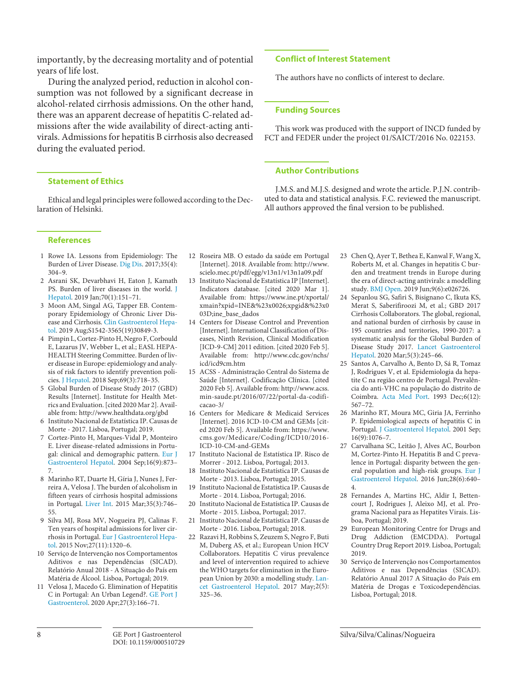importantly, by the decreasing mortality and of potential years of life lost.

During the analyzed period, reduction in alcohol consumption was not followed by a significant decrease in alcohol-related cirrhosis admissions. On the other hand, there was an apparent decrease of hepatitis C-related admissions after the wide availability of direct-acting antivirals. Admissions for hepatitis B cirrhosis also decreased during the evaluated period.

## **Statement of Ethics**

Ethical and legal principles were followed according to the Declaration of Helsinki.

#### **References**

- <span id="page-7-0"></span>[1](#page-4-0) Rowe IA. Lessons from Epidemiology: The Burden of Liver Disease. [Dig Dis.](https://www.karger.com/Article/FullText/510729?ref=1#ref1) 2017;35(4): 304–9.
- <span id="page-7-2"></span>[2](#page-4-0) Asrani SK, Devarbhavi H, Eaton J, Kamath PS. Burden of liver diseases in the world. [J](https://www.karger.com/Article/FullText/510729?ref=2#ref2) [Hepatol.](https://www.karger.com/Article/FullText/510729?ref=2#ref2) 2019 Jan;70(1):151–71.
- <span id="page-7-1"></span>[3](#page-4-0) Moon AM, Singal AG, Tapper EB. Contemporary Epidemiology of Chronic Liver Disease and Cirrhosis. [Clin Gastroenterol Hepa](https://www.karger.com/Article/FullText/510729?ref=3#ref3)[tol](https://www.karger.com/Article/FullText/510729?ref=3#ref3). 2019 Aug;S1542-3565(19)30849-3.
- <span id="page-7-3"></span>[4](#page-1-0) Pimpin L, Cortez-Pinto H, Negro F, Corbould E, Lazarus JV, Webber L, et al.; EASL HEPA-HEALTH Steering Committee. Burden of liver disease in Europe: epidemiology and analysis of risk factors to identify prevention policies. [J Hepatol](https://www.karger.com/Article/FullText/510729?ref=4#ref4). 2018 Sep;69(3):718–35.
- <span id="page-7-4"></span>[5](#page-1-1) Global Burden of Disease Study 2017 (GBD) Results [Internet]. Institute for Health Metrics and Evaluation. [cited 2020 Mar 2]. Available from: http://www.healthdata.org/gbd
- <span id="page-7-5"></span>[6](#page-4-0) Instituto Nacional de Estatística IP. Causas de Morte - 2017. Lisboa, Portugal; 2019.
- <span id="page-7-6"></span>[7](#page-4-0) Cortez-Pinto H, Marques-Vidal P, Monteiro E. Liver disease-related admissions in Portugal: clinical and demographic pattern. [Eur J](https://www.karger.com/Article/FullText/510729?ref=7#ref7) [Gastroenterol Hepatol.](https://www.karger.com/Article/FullText/510729?ref=7#ref7) 2004 Sep;16(9):873– 7.
- <span id="page-7-8"></span>[8](#page-1-2) Marinho RT, Duarte H, Gíria J, Nunes J, Ferreira A, Velosa J. The burden of alcoholism in fifteen years of cirrhosis hospital admissions in Portugal. [Liver Int](https://www.karger.com/Article/FullText/510729?ref=8#ref8). 2015 Mar;35(3):746– 55.
- <span id="page-7-7"></span>[9](#page-1-2) Silva MJ, Rosa MV, Nogueira PJ, Calinas F. Ten years of hospital admissions for liver cirrhosis in Portugal. [Eur J Gastroenterol Hepa](https://www.karger.com/Article/FullText/510729?ref=9#ref9)[tol](https://www.karger.com/Article/FullText/510729?ref=9#ref9). 2015 Nov;27(11):1320–6.
- [10](#page-1-3) Serviço de Intervenção nos Comportamentos Aditivos e nas Dependências (SICAD). Relatório Anual 2018 - A Situação do País em Matéria de Álcool. Lisboa, Portugal; 2019.
- [11](#page-1-4) Velosa J, Macedo G. Elimination of Hepatitis C in Portugal: An Urban Legend?. [GE Port J](https://www.karger.com/Article/FullText/510729?ref=11#ref11) [Gastroenterol](https://www.karger.com/Article/FullText/510729?ref=11#ref11). 2020 Apr;27(3):166–71.
- [12](#page-1-5) Roseira MB. O estado da saúde em Portugal [Internet]. 2018. Available from: http://www. scielo.mec.pt/pdf/egg/v13n1/v13n1a09.pdf
- [13](#page-4-0) Instituto Nacional de Estatística IP [Internet]. Indicators database. [cited 2020 Mar 1]. Available from: https://www.ine.pt/xportal/ xmain?xpid=INE&%23x0026;xpgid&%23x0 03D;ine\_base\_dados
- [14](#page-2-0) Centers for Disease Control and Prevention [Internet]. International Classification of Diseases, Ninth Revision, Clinical Modification [ICD-9-CM] 2011 edition. [cited 2020 Feb 5]. Available from: http://www.cdc.gov/nchs/ icd/icd9cm.htm
- [15](#page-2-1) ACSS Administração Central do Sistema de Saúde [Internet]. Codificação Clínica. [cited 2020 Feb 5]. Available from: http://www.acss. min-saude.pt/2016/07/22/portal-da-codificacao-3/
- [16](#page-2-1) Centers for Medicare & Medicaid Services [Internet]. 2016 ICD-10-CM and GEMs [cited 2020 Feb 5]. Available from: https://www. cms.gov/Medicare/Coding/ICD10/2016- ICD-10-CM-and-GEMs
- [17](#page-4-0) Instituto Nacional de Estatística IP. Risco de Morrer - 2012. Lisboa, Portugal; 2013.
- 18 Instituto Nacional de Estatística IP. Causas de Morte - 2013. Lisboa, Portugal; 2015.
- 19 Instituto Nacional de Estatística IP. Causas de Morte - 2014. Lisboa, Portugal; 2016.
- 20 Instituto Nacional de Estatística IP. Causas de Morte - 2015. Lisboa, Portugal; 2017.
- [21](#page-4-0) Instituto Nacional de Estatística IP. Causas de Morte - 2016. Lisboa, Portugal; 2018.
- [22](#page-5-0) Razavi H, Robbins S, Zeuzem S, Negro F, Buti M, Duberg AS, et al.; European Union HCV Collaborators. Hepatitis C virus prevalence and level of intervention required to achieve the WHO targets for elimination in the European Union by 2030: a modelling study. [Lan](https://www.karger.com/Article/FullText/510729?ref=22#ref22)[cet Gastroenterol Hepatol.](https://www.karger.com/Article/FullText/510729?ref=22#ref22) 2017 May;2(5): 325–36.

### **Conflict of Interest Statement**

The authors have no conflicts of interest to declare.

#### **Funding Sources**

This work was produced with the support of INCD funded by FCT and FEDER under the project 01/SAICT/2016 No. 022153.

## **Author Contributions**

J.M.S. and M.J.S. designed and wrote the article. P.J.N. contributed to data and statistical analysis. F.C. reviewed the manuscript. All authors approved the final version to be published.

- [23](#page-5-0) Chen Q, Ayer T, Bethea E, Kanwal F, Wang X, Roberts M, et al. Changes in hepatitis C burden and treatment trends in Europe during the era of direct-acting antivirals: a modelling study. [BMJ Open](https://www.karger.com/Article/FullText/510729?ref=23#ref23). 2019 Jun;9(6):e026726.
- [24](#page-5-1) Sepanlou SG, Safiri S, Bisignano C, Ikuta KS, Merat S, Saberifiroozi M, et al.; GBD 2017 Cirrhosis Collaborators. The global, regional, and national burden of cirrhosis by cause in 195 countries and territories, 1990-2017: a systematic analysis for the Global Burden of Disease Study 2017. [Lancet Gastroenterol](https://www.karger.com/Article/FullText/510729?ref=24#ref24)  [Hepatol.](https://www.karger.com/Article/FullText/510729?ref=24#ref24) 2020 Mar;5(3):245–66.
- [25](#page-5-2) Santos A, Carvalho A, Bento D, Sá R, Tomaz J, Rodrigues V, et al. Epidemiologia da hepatite C na região centro de Portugal. Prevalência do anti-VHC na população do distrito de Coimbra. [Acta Med Port](https://www.karger.com/Article/FullText/510729?ref=25#ref25). 1993 Dec;6(12): 567–72.
- [26](#page-5-2) Marinho RT, Moura MC, Giria JA, Ferrinho P. Epidemiological aspects of hepatitis C in Portugal. [J Gastroenterol Hepatol.](https://www.karger.com/Article/FullText/510729?ref=26#ref26) 2001 Sep; 16(9):1076–7.
- Carvalhana SC, Leitão J, Alves AC, Bourbon M, Cortez-Pinto H. Hepatitis B and C prevalence in Portugal: disparity between the general population and high-risk groups. [Eur J](https://www.karger.com/Article/FullText/510729?ref=27#ref27)  [Gastroenterol Hepatol](https://www.karger.com/Article/FullText/510729?ref=27#ref27). 2016 Jun;28(6):640– 4.
- [28](#page-5-3) Fernandes A, Martins HC, Aldir I, Bettencourt J, Rodrigues J, Aleixo MJ, et al. Programa Nacional para as Hepatites Virais. Lisboa, Portugal; 2019.
- [29](#page-5-3) European Monitoring Centre for Drugs and Drug Addiction (EMCDDA). Portugal Country Drug Report 2019. Lisboa, Portugal; 2019.
- [30](#page-5-3) Serviço de Intervenção nos Comportamentos Aditivos e nas Dependências (SICAD). Relatório Anual 2017 A Situação do País em Matéria de Drogas e Toxicodependências. Lisboa, Portugal; 2018.